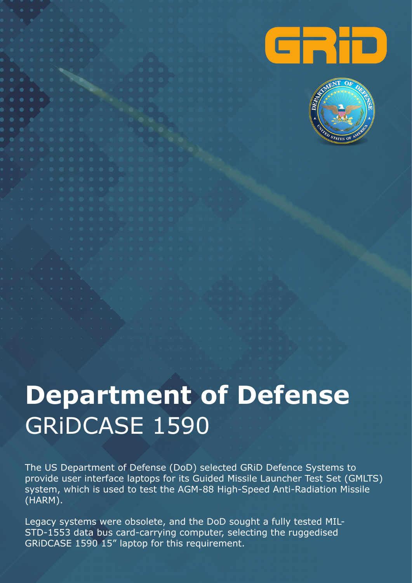



## **Department of Defense**  GRiDCASE 1590

The US Department of Defense (DoD) selected GRiD Defence Systems to provide user interface laptops for its Guided Missile Launcher Test Set (GMLTS) system, which is used to test the AGM-88 High-Speed Anti-Radiation Missile (HARM).

Legacy systems were obsolete, and the DoD sought a fully tested MIL-STD-1553 data bus card-carrying computer, selecting the ruggedised GRiDCASE 1590 15" laptop for this requirement.